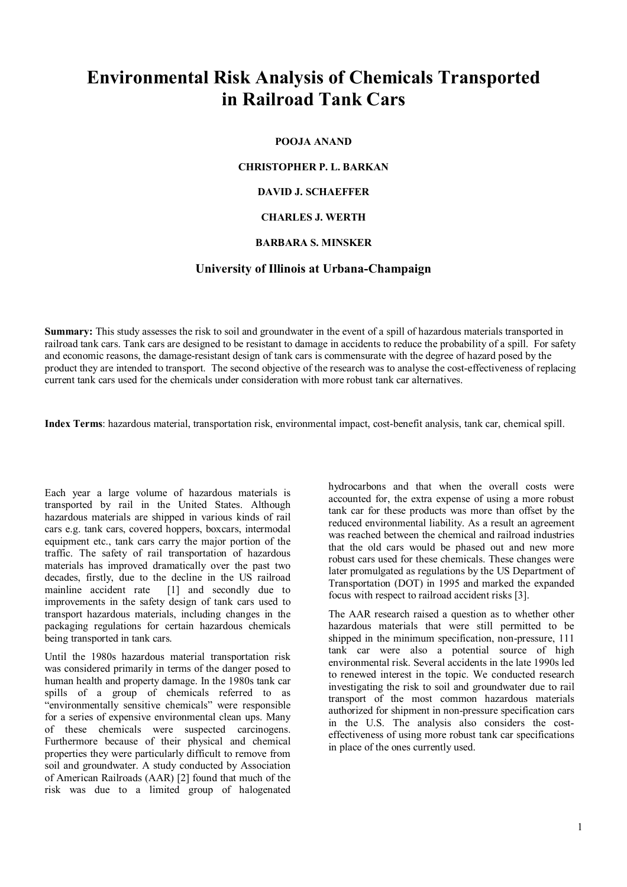# **Environmental Risk Analysis of Chemicals Transported in Railroad Tank Cars**

#### **POOJA ANAND**

## **CHRISTOPHER P. L. BARKAN**

## **DAVID J. SCHAEFFER**

## **CHARLES J. WERTH**

### **BARBARA S. MINSKER**

## **University of Illinois at Urbana-Champaign**

**Summary:** This study assesses the risk to soil and groundwater in the event of a spill of hazardous materials transported in railroad tank cars. Tank cars are designed to be resistant to damage in accidents to reduce the probability of a spill. For safety and economic reasons, the damage-resistant design of tank cars is commensurate with the degree of hazard posed by the product they are intended to transport. The second objective of the research was to analyse the cost-effectiveness of replacing current tank cars used for the chemicals under consideration with more robust tank car alternatives.

**Index Terms**: hazardous material, transportation risk, environmental impact, cost-benefit analysis, tank car, chemical spill.

Each year a large volume of hazardous materials is transported by rail in the United States. Although hazardous materials are shipped in various kinds of rail cars e.g. tank cars, covered hoppers, boxcars, intermodal equipment etc., tank cars carry the major portion of the traffic. The safety of rail transportation of hazardous materials has improved dramatically over the past two decades, firstly, due to the decline in the US railroad mainline accident rate [1] and secondly due to improvements in the safety design of tank cars used to transport hazardous materials, including changes in the packaging regulations for certain hazardous chemicals being transported in tank cars.

Until the 1980s hazardous material transportation risk was considered primarily in terms of the danger posed to human health and property damage. In the 1980s tank car spills of a group of chemicals referred to as "environmentally sensitive chemicals" were responsible for a series of expensive environmental clean ups. Many of these chemicals were suspected carcinogens. Furthermore because of their physical and chemical properties they were particularly difficult to remove from soil and groundwater. A study conducted by Association of American Railroads (AAR) [2] found that much of the risk was due to a limited group of halogenated hydrocarbons and that when the overall costs were accounted for, the extra expense of using a more robust tank car for these products was more than offset by the reduced environmental liability. As a result an agreement was reached between the chemical and railroad industries that the old cars would be phased out and new more robust cars used for these chemicals. These changes were later promulgated as regulations by the US Department of Transportation (DOT) in 1995 and marked the expanded focus with respect to railroad accident risks [3].

The AAR research raised a question as to whether other hazardous materials that were still permitted to be shipped in the minimum specification, non-pressure, 111 tank car were also a potential source of high environmental risk. Several accidents in the late 1990s led to renewed interest in the topic. We conducted research investigating the risk to soil and groundwater due to rail transport of the most common hazardous materials authorized for shipment in non-pressure specification cars in the U.S. The analysis also considers the costeffectiveness of using more robust tank car specifications in place of the ones currently used.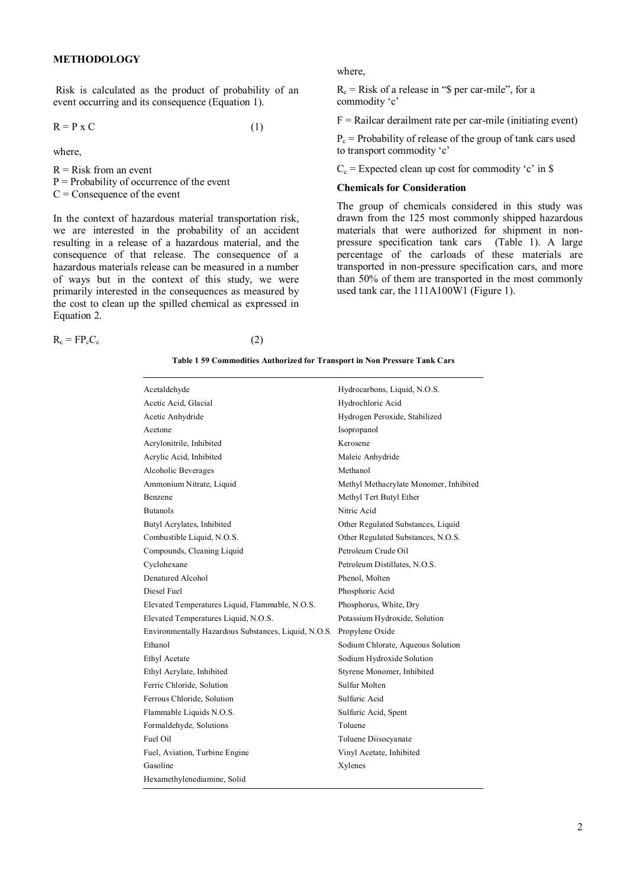#### **METHODOLOGY**

Risk is calculated as the product of probability of an event occurring and its consequence (Equation 1).

$$
R = P \times C \tag{1}
$$

where,

- $R =$ Risk from an event
- $P =$  Probability of occurrence of the event

 $C =$ Consequence of the event

In the context of hazardous material transportation risk, we are interested in the probability of an accident resulting in a release of a hazardous material, and the consequence of that release. The consequence of a hazardous materials release can be measured in a number of ways but in the context of this study, we were primarily interested in the consequences as measured by the cost to clean up the spilled chemical as expressed in Equation 2.

$$
R_c = FP_c C_c \tag{2}
$$

where,

 $R_c$  = Risk of a release in "\$ per car-mile", for a commodity 'c'

 $F =$ Railcar derailment rate per car-mile (initiating event)

 $P_c$  = Probability of release of the group of tank cars used to transport commodity 'c'

 $C_c$  = Expected clean up cost for commodity 'c' in \$

#### **Chemicals for Consideration**

The group of chemicals considered in this study was drawn from the 125 most commonly shipped hazardous materials that were authorized for shipment in nonpressure specification tank cars (Table 1). A large percentage of the carloads of these materials are transported in non-pressure specification cars, and more than 50% of them are transported in the most commonly used tank car, the 111A100W1 (Figure 1).

| Acetaldehyde                                         | Hydrocarbons, Liquid, N.O.S.           |
|------------------------------------------------------|----------------------------------------|
| Acetic Acid, Glacial                                 | Hydrochloric Acid                      |
| Acetic Anhydride                                     | Hydrogen Peroxide, Stabilized          |
| Acetone                                              | Isopropanol                            |
| Acrylonitrile, Inhibited                             | Kerosene                               |
| Acrylic Acid, Inhibited                              | Maleic Anhydride                       |
| Alcoholic Beverages                                  | Methanol                               |
| Ammonium Nitrate, Liquid                             | Methyl Methacrylate Monomer, Inhibited |
| Benzene                                              | Methyl Tert Butyl Ether                |
| <b>Butanols</b>                                      | Nitric Acid                            |
| Butyl Acrylates, Inhibited                           | Other Regulated Substances, Liquid     |
| Combustible Liquid, N.O.S.                           | Other Regulated Substances, N.O.S.     |
| Compounds, Cleaning Liquid                           | Petroleum Crude Oil                    |
| Cyclohexane                                          | Petroleum Distillates, N.O.S.          |
| Denatured Alcohol                                    | Phenol, Molten                         |
| Diesel Fuel                                          | Phosphoric Acid                        |
| Elevated Temperatures Liquid, Flammable, N.O.S.      | Phosphorus, White, Dry                 |
| Elevated Temperatures Liquid, N.O.S.                 | Potassium Hydroxide, Solution          |
| Environmentally Hazardous Substances, Liquid, N.O.S. | Propylene Oxide                        |
| Ethanol                                              | Sodium Chlorate, Aqueous Solution      |
| Ethyl Acetate                                        | Sodium Hydroxide Solution              |
| Ethyl Acrylate, Inhibited                            | Styrene Monomer, Inhibited             |
| Ferric Chloride, Solution                            | Sulfur Molten                          |
| Ferrous Chloride, Solution                           | Sulfuric Acid                          |
| Flammable Liquids N.O.S.                             | Sulfuric Acid, Spent                   |
| Formaldehyde, Solutions                              | Toluene                                |
| Fuel Oil                                             | Toluene Diisocyanate                   |
| Fuel, Aviation, Turbine Engine                       | Vinyl Acetate, Inhibited               |
| Gasoline                                             | Xylenes                                |
| Hexamethylenediamine, Solid                          |                                        |
|                                                      |                                        |

**Table 1 59 Commodities Authorized for Transport in Non Pressure Tank Cars**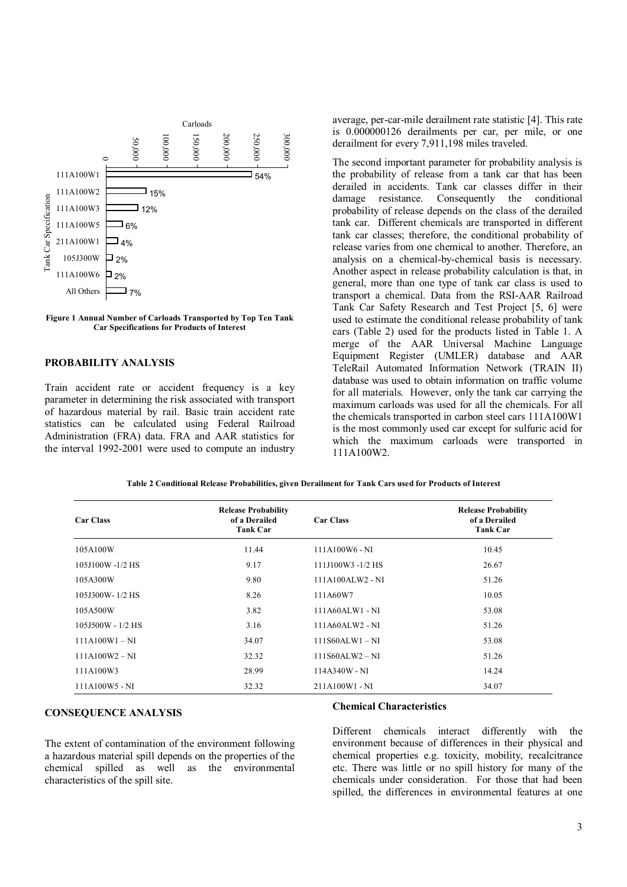

**Figure 1 Annual Number of Carloads Transported by Top Ten Tank Car Specifications for Products of Interest** 

## **PROBABILITY ANALYSIS**

Train accident rate or accident frequency is a key parameter in determining the risk associated with transport of hazardous material by rail. Basic train accident rate statistics can be calculated using Federal Railroad Administration (FRA) data. FRA and AAR statistics for the interval 1992-2001 were used to compute an industry

average, per-car-mile derailment rate statistic [4]. This rate is 0.000000126 derailments per car, per mile, or one derailment for every 7,911,198 miles traveled.

The second important parameter for probability analysis is the probability of release from a tank car that has been derailed in accidents. Tank car classes differ in their damage resistance. Consequently the conditional probability of release depends on the class of the derailed tank car. Different chemicals are transported in different tank car classes; therefore, the conditional probability of release varies from one chemical to another. Therefore, an analysis on a chemical-by-chemical basis is necessary. Another aspect in release probability calculation is that, in general, more than one type of tank car class is used to transport a chemical. Data from the RSI-AAR Railroad Tank Car Safety Research and Test Project [5, 6] were used to estimate the conditional release probability of tank cars (Table 2) used for the products listed in Table 1. A merge of the AAR Universal Machine Language Equipment Register (UMLER) database and AAR TeleRail Automated Information Network (TRAIN II) database was used to obtain information on traffic volume for all materials. However, only the tank car carrying the maximum carloads was used for all the chemicals. For all the chemicals transported in carbon steel cars 111A100W1 is the most commonly used car except for sulfuric acid for which the maximum carloads were transported in 111A100W2.

| <b>Car Class</b>  | <b>Release Probability</b><br>of a Derailed<br><b>Tank Car</b> | <b>Car Class</b>  | <b>Release Probability</b><br>of a Derailed<br><b>Tank Car</b> |
|-------------------|----------------------------------------------------------------|-------------------|----------------------------------------------------------------|
| 105A100W          | 11.44                                                          | 111A100W6 - NI    | 10.45                                                          |
| 105J100W -1/2 HS  | 9.17                                                           | 111J100W3 -1/2 HS | 26.67                                                          |
| 105A300W          | 9.80                                                           | 111A100ALW2 - NI  | 51.26                                                          |
| 105J300W-1/2 HS   | 8.26                                                           | 111A60W7          | 10.05                                                          |
| 105A500W          | 3.82                                                           | 111A60ALW1 - NI   | 53.08                                                          |
| 105J500W - 1/2 HS | 3.16                                                           | 111A60ALW2 - NI   | 51.26                                                          |
| $111A100W1 - NI$  | 34.07                                                          | $111S60ALW1-NI$   | 53.08                                                          |
| $111A100W2 - NI$  | 32.32                                                          | $111S60ALW2 - NI$ | 51.26                                                          |
| 111A100W3         | 28.99                                                          | 114A340W - NI     | 14.24                                                          |
| 111A100W5 - NI    | 32.32                                                          | 211A100W1 - NI    | 34.07                                                          |

**Table 2 Conditional Release Probabilities, given Derailment for Tank Cars used for Products of Interest** 

## **CONSEQUENCE ANALYSIS**

The extent of contamination of the environment following a hazardous material spill depends on the properties of the chemical spilled as well as the environmental characteristics of the spill site.

#### **Chemical Characteristics**

Different chemicals interact differently with the environment because of differences in their physical and chemical properties e.g. toxicity, mobility, recalcitrance etc. There was little or no spill history for many of the chemicals under consideration. For those that had been spilled, the differences in environmental features at one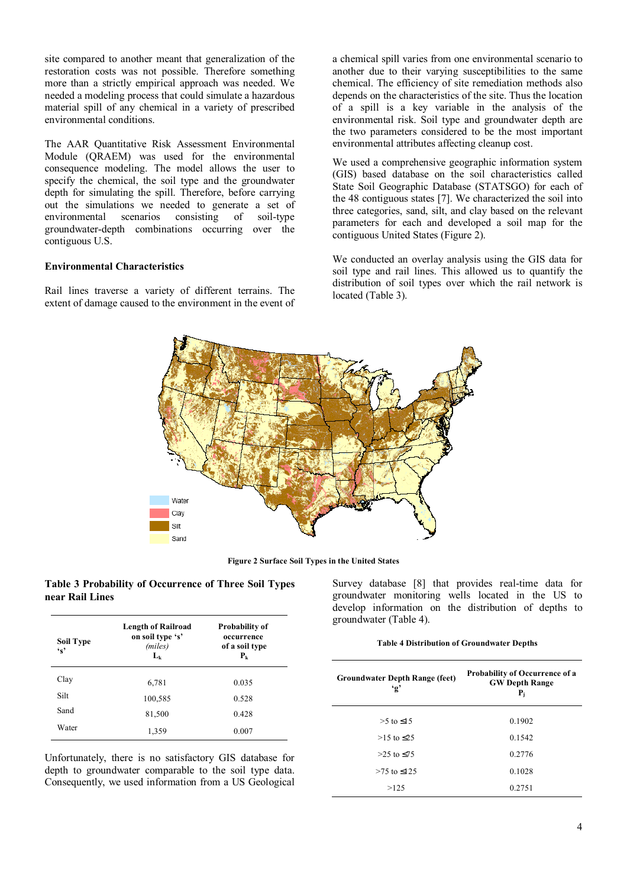site compared to another meant that generalization of the restoration costs was not possible. Therefore something more than a strictly empirical approach was needed. We needed a modeling process that could simulate a hazardous material spill of any chemical in a variety of prescribed environmental conditions.

The AAR Quantitative Risk Assessment Environmental Module (QRAEM) was used for the environmental consequence modeling. The model allows the user to specify the chemical, the soil type and the groundwater depth for simulating the spill. Therefore, before carrying out the simulations we needed to generate a set of environmental scenarios consisting of soil-type groundwater-depth combinations occurring over the contiguous U.S.

#### **Environmental Characteristics**

Rail lines traverse a variety of different terrains. The extent of damage caused to the environment in the event of

a chemical spill varies from one environmental scenario to another due to their varying susceptibilities to the same chemical. The efficiency of site remediation methods also depends on the characteristics of the site. Thus the location of a spill is a key variable in the analysis of the environmental risk. Soil type and groundwater depth are the two parameters considered to be the most important environmental attributes affecting cleanup cost.

We used a comprehensive geographic information system (GIS) based database on the soil characteristics called State Soil Geographic Database (STATSGO) for each of the 48 contiguous states [7]. We characterized the soil into three categories, sand, silt, and clay based on the relevant parameters for each and developed a soil map for the contiguous United States (Figure 2).

We conducted an overlay analysis using the GIS data for soil type and rail lines. This allowed us to quantify the distribution of soil types over which the rail network is located (Table 3).



**Figure 2 Surface Soil Types in the United States** 

### **Table 3 Probability of Occurrence of Three Soil Types near Rail Lines**

| Soil Type<br>$\cdot$ s' | <b>Length of Railroad</b><br>on soil type 's'<br>(miles)<br>$L_k$ | <b>Probability of</b><br>occurrence<br>of a soil type<br>$P_{k}$ |
|-------------------------|-------------------------------------------------------------------|------------------------------------------------------------------|
| Clay                    | 6,781                                                             | 0.035                                                            |
| Silt                    | 100,585                                                           | 0.528                                                            |
| Sand                    | 81,500                                                            | 0.428                                                            |
| Water                   | 1,359                                                             | 0.007                                                            |

Unfortunately, there is no satisfactory GIS database for depth to groundwater comparable to the soil type data. Consequently, we used information from a US Geological Survey database [8] that provides real-time data for groundwater monitoring wells located in the US to develop information on the distribution of depths to groundwater (Table 4).

#### **Table 4 Distribution of Groundwater Depths**

| <b>Groundwater Depth Range (feet)</b><br>ʻg' | <b>Probability of Occurrence of a</b><br><b>GW Depth Range</b><br>$P_i$ |
|----------------------------------------------|-------------------------------------------------------------------------|
| $>5$ to $\leq$ 15                            | 0.1902                                                                  |
| $>15$ to $\leq 25$                           | 0.1542                                                                  |
| $>25$ to $\leq 75$                           | 0.2776                                                                  |
| $>75$ to $\leq 125$                          | 0.1028                                                                  |
| >125                                         | 0.2751                                                                  |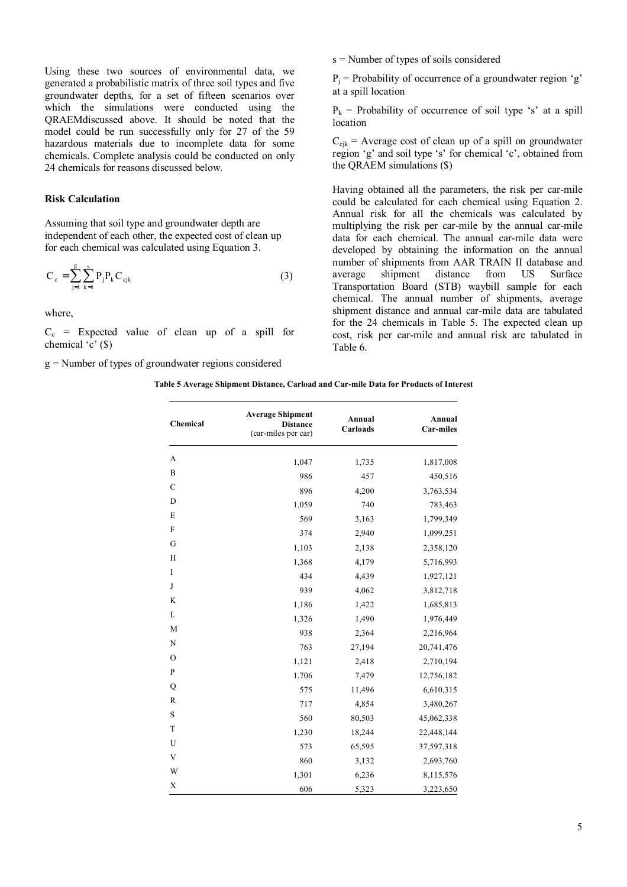Using these two sources of environmental data, we generated a probabilistic matrix of three soil types and five groundwater depths, for a set of fifteen scenarios over which the simulations were conducted using the QRAEMdiscussed above. It should be noted that the model could be run successfully only for 27 of the 59 hazardous materials due to incomplete data for some chemicals. Complete analysis could be conducted on only 24 chemicals for reasons discussed below.

#### **Risk Calculation**

Assuming that soil type and groundwater depth are independent of each other, the expected cost of clean up for each chemical was calculated using Equation 3.

$$
C_c = \sum_{j=1}^{g} \sum_{k=1}^{s} P_j P_k C_{cjk}
$$
 (3)

where,

 $C_c$  = Expected value of clean up of a spill for chemical  $\hat{c}$  (\$)

 $g =$ Number of types of groundwater regions considered

s = Number of types of soils considered

 $P_i$  = Probability of occurrence of a groundwater region 'g' at a spill location

 $P_k$  = Probability of occurrence of soil type 's' at a spill location

 $C_{cik}$  = Average cost of clean up of a spill on groundwater region 'g' and soil type 's' for chemical 'c', obtained from the QRAEM simulations (\$)

Having obtained all the parameters, the risk per car-mile could be calculated for each chemical using Equation 2. Annual risk for all the chemicals was calculated by multiplying the risk per car-mile by the annual car-mile data for each chemical. The annual car-mile data were developed by obtaining the information on the annual number of shipments from AAR TRAIN II database and average shipment distance from US Surface Transportation Board (STB) waybill sample for each chemical. The annual number of shipments, average shipment distance and annual car-mile data are tabulated for the 24 chemicals in Table 5. The expected clean up cost, risk per car-mile and annual risk are tabulated in Table 6.

#### **Table 5 Average Shipment Distance, Carload and Car-mile Data for Products of Interest**

| Chemical         | <b>Average Shipment</b><br><b>Distance</b><br>(car-miles per car) | Annual<br>Carloads | Annual<br><b>Car-miles</b> |  |
|------------------|-------------------------------------------------------------------|--------------------|----------------------------|--|
| A                | 1,047                                                             | 1,735              | 1,817,008                  |  |
| $\boldsymbol{B}$ | 986                                                               | 457                | 450,516                    |  |
| $\mathcal{C}$    | 896                                                               | 4,200              | 3,763,534                  |  |
| D                | 1,059                                                             | 740                | 783,463                    |  |
| $\mathbf E$      | 569                                                               | 3,163              | 1,799,349                  |  |
| $\overline{F}$   | 374                                                               | 2,940              | 1,099,251                  |  |
| G                | 1,103                                                             | 2,138              | 2,358,120                  |  |
| H                | 1,368                                                             | 4,179              | 5,716,993                  |  |
| I                | 434                                                               | 4,439              | 1,927,121                  |  |
| J                | 939                                                               | 4,062              | 3,812,718                  |  |
| K                | 1,186                                                             | 1,422              | 1,685,813                  |  |
| L                | 1,326                                                             | 1,490              | 1,976,449                  |  |
| M                | 938                                                               | 2,364              | 2,216,964                  |  |
| N                | 763                                                               | 27,194             | 20,741,476                 |  |
| $\mathbf O$      | 1,121                                                             | 2,418              | 2,710,194                  |  |
| $\mathbf{P}$     | 1,706                                                             | 7,479              | 12,756,182                 |  |
| Q                | 575                                                               | 11,496             | 6,610,315                  |  |
| R                | 717                                                               | 4,854              | 3,480,267                  |  |
| S                | 560                                                               | 80,503             | 45,062,338                 |  |
| T                | 1,230                                                             | 18,244             | 22,448,144                 |  |
| U                | 573                                                               | 65,595             | 37,597,318                 |  |
| V                | 860                                                               | 3,132              | 2,693,760                  |  |
| W                | 1,301                                                             | 6,236              | 8,115,576                  |  |
| X                | 606                                                               | 5,323              | 3,223,650                  |  |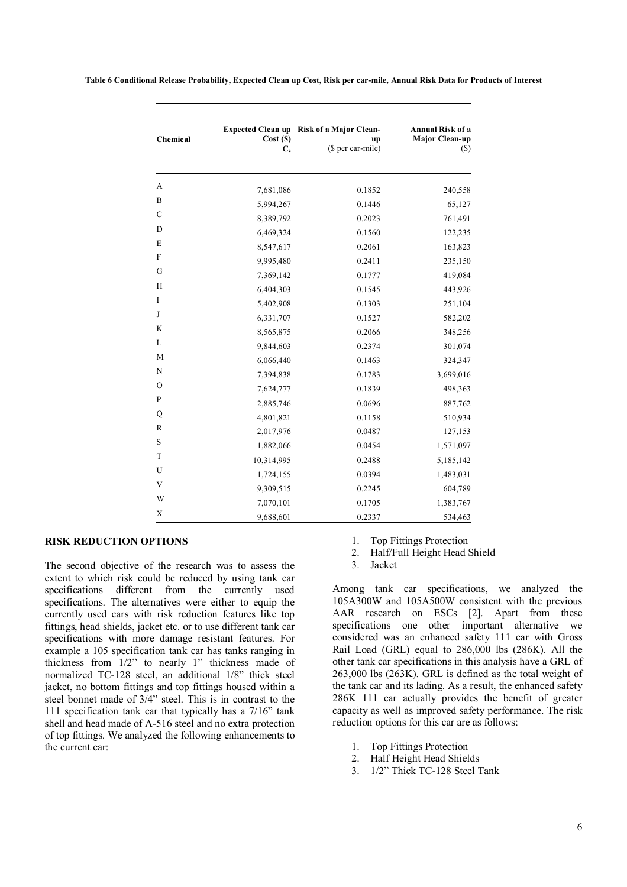| Chemical      | Cost(S)<br>$C_{c}$ | Expected Clean up Risk of a Major Clean-<br>up<br>(\$ per car-mile) | <b>Annual Risk of a</b><br><b>Major Clean-up</b><br>$(\$)$ |
|---------------|--------------------|---------------------------------------------------------------------|------------------------------------------------------------|
| A             | 7,681,086          | 0.1852                                                              | 240,558                                                    |
| B             | 5,994,267          | 0.1446                                                              | 65,127                                                     |
| $\mathcal{C}$ | 8,389,792          | 0.2023                                                              | 761,491                                                    |
| D             | 6,469,324          | 0.1560                                                              | 122,235                                                    |
| E             | 8,547,617          | 0.2061                                                              | 163,823                                                    |
| ${\bf F}$     | 9,995,480          | 0.2411                                                              | 235,150                                                    |
| G             | 7,369,142          | 0.1777                                                              | 419,084                                                    |
| H             | 6,404,303          | 0.1545                                                              | 443,926                                                    |
| I             | 5,402,908          | 0.1303                                                              | 251,104                                                    |
| J             | 6,331,707          | 0.1527                                                              | 582,202                                                    |
| K             | 8,565,875          | 0.2066                                                              | 348,256                                                    |
| L             | 9,844,603          | 0.2374                                                              | 301,074                                                    |
| M             | 6,066,440          | 0.1463                                                              | 324,347                                                    |
| N             | 7,394,838          | 0.1783                                                              | 3,699,016                                                  |
| $\mathcal{O}$ | 7,624,777          | 0.1839                                                              | 498,363                                                    |
| P             | 2,885,746          | 0.0696                                                              | 887,762                                                    |
| Q             | 4,801,821          | 0.1158                                                              | 510,934                                                    |
| $\mathbb{R}$  | 2,017,976          | 0.0487                                                              | 127,153                                                    |
| S             | 1,882,066          | 0.0454                                                              | 1,571,097                                                  |
| $\mathbf T$   | 10,314,995         | 0.2488                                                              | 5,185,142                                                  |
| U             | 1,724,155          | 0.0394                                                              | 1,483,031                                                  |
| V             | 9,309,515          | 0.2245                                                              | 604,789                                                    |
| W             | 7,070,101          | 0.1705                                                              | 1,383,767                                                  |
| X             | 9,688,601          | 0.2337                                                              | 534,463                                                    |

**Table 6 Conditional Release Probability, Expected Clean up Cost, Risk per car-mile, Annual Risk Data for Products of Interest** 

#### **RISK REDUCTION OPTIONS**

The second objective of the research was to assess the extent to which risk could be reduced by using tank car specifications different from the currently used specifications. The alternatives were either to equip the currently used cars with risk reduction features like top fittings, head shields, jacket etc. or to use different tank car specifications with more damage resistant features. For example a 105 specification tank car has tanks ranging in thickness from  $1/2$ " to nearly 1" thickness made of normalized  $TC-128$  steel, an additional  $1/8$ <sup>"</sup> thick steel jacket, no bottom fittings and top fittings housed within a steel bonnet made of  $3/4$ <sup>"</sup> steel. This is in contrast to the 111 specification tank car that typically has a  $7/16$ <sup>n</sup> tank shell and head made of A-516 steel and no extra protection of top fittings. We analyzed the following enhancements to the current car:

- 1. Top Fittings Protection
- 2. Half/Full Height Head Shield
- 3. Jacket

Among tank car specifications, we analyzed the 105A300W and 105A500W consistent with the previous AAR research on ESCs [2]. Apart from these specifications one other important alternative we considered was an enhanced safety 111 car with Gross Rail Load (GRL) equal to 286,000 lbs (286K). All the other tank car specifications in this analysis have a GRL of 263,000 lbs (263K). GRL is defined as the total weight of the tank car and its lading. As a result, the enhanced safety 286K 111 car actually provides the benefit of greater capacity as well as improved safety performance. The risk reduction options for this car are as follows:

- 1. Top Fittings Protection
- 2. Half Height Head Shields
- 3. 1/2" Thick TC-128 Steel Tank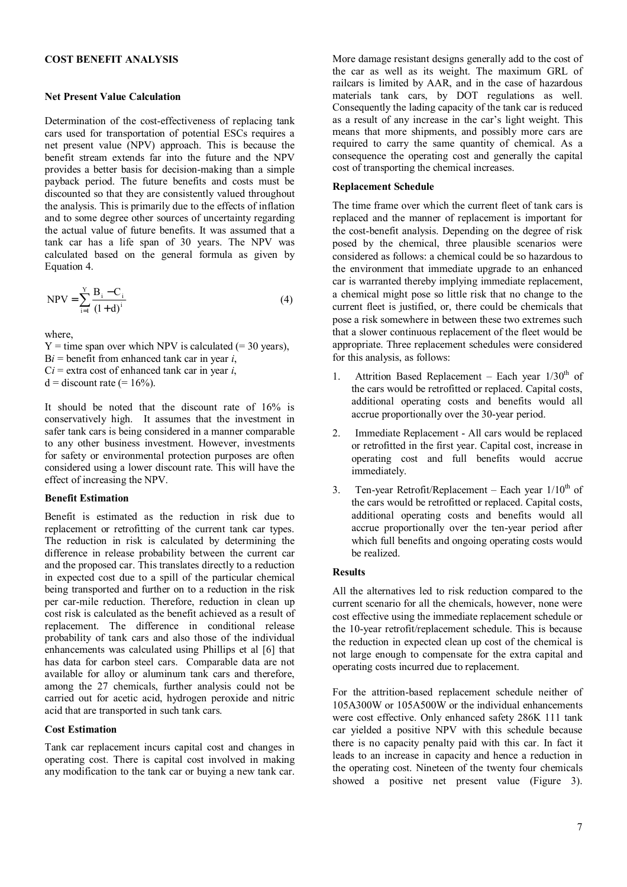#### **COST BENEFIT ANALYSIS**

#### **Net Present Value Calculation**

Determination of the cost-effectiveness of replacing tank cars used for transportation of potential ESCs requires a net present value (NPV) approach. This is because the benefit stream extends far into the future and the NPV provides a better basis for decision-making than a simple payback period. The future benefits and costs must be discounted so that they are consistently valued throughout the analysis. This is primarily due to the effects of inflation and to some degree other sources of uncertainty regarding the actual value of future benefits. It was assumed that a tank car has a life span of 30 years. The NPV was calculated based on the general formula as given by Equation 4.

$$
NPV = \sum_{i=1}^{Y} \frac{B_i - C_i}{(1 + d)^i}
$$
 (4)

where,

 $Y =$  time span over which NPV is calculated (= 30 years),  $Bi = \text{benefit}$  from enhanced tank car in year *i*,  $Ci =$  extra cost of enhanced tank car in year *i*,  $d =$  discount rate (= 16%).

It should be noted that the discount rate of 16% is conservatively high. It assumes that the investment in safer tank cars is being considered in a manner comparable to any other business investment. However, investments for safety or environmental protection purposes are often considered using a lower discount rate. This will have the effect of increasing the NPV.

#### **Benefit Estimation**

Benefit is estimated as the reduction in risk due to replacement or retrofitting of the current tank car types. The reduction in risk is calculated by determining the difference in release probability between the current car and the proposed car. This translates directly to a reduction in expected cost due to a spill of the particular chemical being transported and further on to a reduction in the risk per car-mile reduction. Therefore, reduction in clean up cost risk is calculated as the benefit achieved as a result of replacement. The difference in conditional release probability of tank cars and also those of the individual enhancements was calculated using Phillips et al [6] that has data for carbon steel cars. Comparable data are not available for alloy or aluminum tank cars and therefore, among the 27 chemicals, further analysis could not be carried out for acetic acid, hydrogen peroxide and nitric acid that are transported in such tank cars.

#### **Cost Estimation**

Tank car replacement incurs capital cost and changes in operating cost. There is capital cost involved in making any modification to the tank car or buying a new tank car. More damage resistant designs generally add to the cost of the car as well as its weight. The maximum GRL of railcars is limited by AAR, and in the case of hazardous materials tank cars, by DOT regulations as well. Consequently the lading capacity of the tank car is reduced as a result of any increase in the car's light weight. This means that more shipments, and possibly more cars are required to carry the same quantity of chemical. As a consequence the operating cost and generally the capital cost of transporting the chemical increases.

#### **Replacement Schedule**

The time frame over which the current fleet of tank cars is replaced and the manner of replacement is important for the cost-benefit analysis. Depending on the degree of risk posed by the chemical, three plausible scenarios were considered as follows: a chemical could be so hazardous to the environment that immediate upgrade to an enhanced car is warranted thereby implying immediate replacement, a chemical might pose so little risk that no change to the current fleet is justified, or, there could be chemicals that pose a risk somewhere in between these two extremes such that a slower continuous replacement of the fleet would be appropriate. Three replacement schedules were considered for this analysis, as follows:

- 1. Attrition Based Replacement Each year  $1/30<sup>th</sup>$  of the cars would be retrofitted or replaced. Capital costs, additional operating costs and benefits would all accrue proportionally over the 30-year period.
- 2. Immediate Replacement All cars would be replaced or retrofitted in the first year. Capital cost, increase in operating cost and full benefits would accrue immediately.
- 3. Ten-year Retrofit/Replacement Each year  $1/10^{th}$  of the cars would be retrofitted or replaced. Capital costs, additional operating costs and benefits would all accrue proportionally over the ten-year period after which full benefits and ongoing operating costs would be realized.

## **Results**

All the alternatives led to risk reduction compared to the current scenario for all the chemicals, however, none were cost effective using the immediate replacement schedule or the 10-year retrofit/replacement schedule. This is because the reduction in expected clean up cost of the chemical is not large enough to compensate for the extra capital and operating costs incurred due to replacement.

For the attrition-based replacement schedule neither of 105A300W or 105A500W or the individual enhancements were cost effective. Only enhanced safety 286K 111 tank car yielded a positive NPV with this schedule because there is no capacity penalty paid with this car. In fact it leads to an increase in capacity and hence a reduction in the operating cost. Nineteen of the twenty four chemicals showed a positive net present value (Figure 3).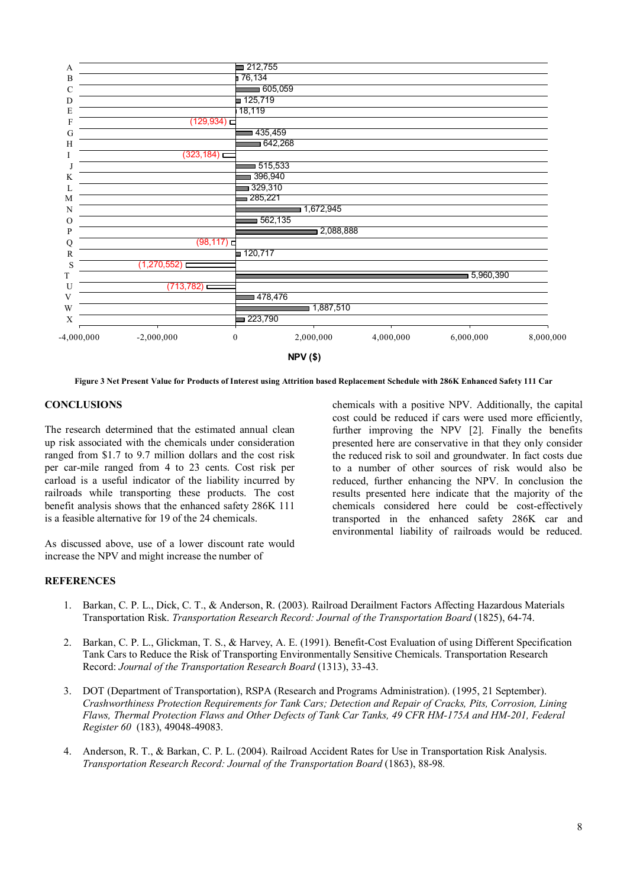

**Figure 3 Net Present Value for Products of Interest using Attrition based Replacement Schedule with 286K Enhanced Safety 111 Car** 

#### **CONCLUSIONS**

The research determined that the estimated annual clean up risk associated with the chemicals under consideration ranged from \$1.7 to 9.7 million dollars and the cost risk per car-mile ranged from 4 to 23 cents. Cost risk per carload is a useful indicator of the liability incurred by railroads while transporting these products. The cost benefit analysis shows that the enhanced safety 286K 111 is a feasible alternative for 19 of the 24 chemicals.

As discussed above, use of a lower discount rate would increase the NPV and might increase the number of

chemicals with a positive NPV. Additionally, the capital cost could be reduced if cars were used more efficiently, further improving the NPV [2]. Finally the benefits presented here are conservative in that they only consider the reduced risk to soil and groundwater. In fact costs due to a number of other sources of risk would also be reduced, further enhancing the NPV. In conclusion the results presented here indicate that the majority of the chemicals considered here could be cost-effectively transported in the enhanced safety 286K car and environmental liability of railroads would be reduced.

#### **REFERENCES**

- 1. Barkan, C. P. L., Dick, C. T., & Anderson, R. (2003). Railroad Derailment Factors Affecting Hazardous Materials Transportation Risk. *Transportation Research Record: Journal of the Transportation Board* (1825), 64-74.
- 2. Barkan, C. P. L., Glickman, T. S., & Harvey, A. E. (1991). Benefit-Cost Evaluation of using Different Specification Tank Cars to Reduce the Risk of Transporting Environmentally Sensitive Chemicals. Transportation Research Record: *Journal of the Transportation Research Board* (1313), 33-43.
- 3. DOT (Department of Transportation), RSPA (Research and Programs Administration). (1995, 21 September). *Crashworthiness Protection Requirements for Tank Cars; Detection and Repair of Cracks, Pits, Corrosion, Lining Flaws, Thermal Protection Flaws and Other Defects of Tank Car Tanks, 49 CFR HM-175A and HM-201, Federal Register 60* (183), 49048-49083.
- 4. Anderson, R. T., & Barkan, C. P. L. (2004). Railroad Accident Rates for Use in Transportation Risk Analysis. *Transportation Research Record: Journal of the Transportation Board* (1863), 88-98*.*